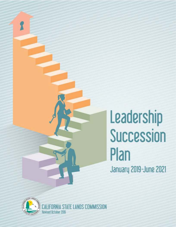# **Leadership Succession Plan Januarij 2019-June 2021**



**r** 

A STATE LANDS COMMISSION Revised October 2019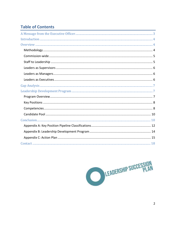# <span id="page-1-0"></span>**Table of Contents**

LEADERSHIP SUCCESSION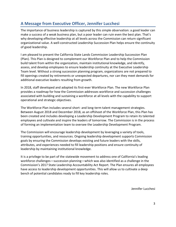# **A Message from Executive Officer, Jennifer Lucchesi**

 make a success of a weak business plan, but a poor leader can ruin even the best plan. That's The importance of business leadership is captured by this simple observation: a good leader can why developing effective leadership at all levels across the Commission can return significant organizational value. A well-constructed Leadership Succession Plan helps ensure the continuity of good leadership.

I am pleased to present the California State Lands Commission Leadership Succession Plan (Plan). This Plan is designed to complement our Workforce Plan and to help the Commission build talent from within the organization, maintain institutional knowledge, and identify, assess, and develop employees to ensure leadership continuity at the Executive Leadership Team level. Without a strong succession planning program, organizations are not prepared to fill openings created by retirements or unexpected departures, nor can they meet demands for additional executive leaders resulting from growth.

In 2018, staff developed and adopted its first-ever Workforce Plan. The new Workforce Plan provides a roadmap for how the Commission addresses workforce and succession challenges associated with building and sustaining a workforce at all levels with the capability to support operational and strategic objectives.

The Workforce Plan includes several short- and long-term talent management strategies. Between August 2018 and December 2018, as an offshoot of the Workforce Plan, this Plan has been created and includes developing a Leadership Development Program to retain its talented employees and cultivate and inspire the leaders of tomorrow. The Commission is in the process of forming an implementation team to oversee the Leadership Development Program.

The Commission will encourage leadership development by leveraging a variety of tools, training opportunities, and resources. Ongoing leadership development supports Commission goals by ensuring the Commission develops existing and future leaders with the skills, attributes, and experiences needed to fill leadership positions and ensure continuity of leadership by maintaining institutional knowledge.

 It is a privilege to be part of the statewide movement to address one of California's leading Commission's 2017 State Leadership Accountability Act Report. The Plan ensures all employees workforce challenges—succession planning—which was also identified as a challenge in the have access to leadership development opportunities. This will allow us to cultivate a deep bench of potential candidates ready to fill key leadership roles.

Jennifer Lucchesi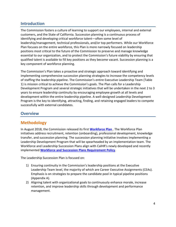#### <span id="page-3-0"></span>**Introduction**

 essential to our organization, and to protect the Commission's future viability by ensuring that The Commission fosters a culture of learning to support our employees, internal and external customers, and the State of California. Succession planning is a continuous process of identifying and developing critical workforce talent—often some level of leadership/management, technical professionals, and/or top performers. While our Workforce Plan focuses on the entire workforce, this Plan is more narrowly focused on leadership positions most critical to the future of the Commission to preserve and manage knowledge qualified talent is available to fill key positions as they become vacant. Succession planning is a key component of workforce planning.

The Commission's Plan takes a proactive and strategic approach toward identifying and implementing comprehensive succession planning strategies to increase the competency levels of staffing the leadership pipeline. The Commission's entire Executive Leadership Team (Table 1) is mission critical to achieve the Commission's goals. The Plan calls for a Leadership Development Program and several strategic initiatives that will be undertaken in the next 2 to 3 years to ensure leadership continuity by encouraging employee growth at all levels and development within the entire leadership pipeline. A well-designed Leadership Development Program is the key to identifying, attracting, finding, and retaining engaged leaders to compete successfully with external candidates.

#### <span id="page-3-1"></span>**Overview**

#### <span id="page-3-2"></span>**Methodology**

 Workforce and Leadership Succession Plans align with CalHR's newly developed and recently In August 2018, the Commission released its first **[Workforce Plan](https://caslc.sharepoint.com/sites/Intranet/hr/Documents/Workforce_Plan_Template_FINAL.pdf)** . The Workforce Plan initiatives address recruitment, retention (onboarding), professional development, knowledge transfer, and succession planning. The succession planning initiative involves implementing a Leadership Development Program that will be spearheaded by an implementation team. The implemented **[Workforce and Succession Plans Requirement Policy](http://hrmanual.calhr.ca.gov/Home/ManualItem/1/2901)**.

The Leadership Succession Plan is focused on:

- 1) Ensuring continuity in the Commission's leadership positions at the Executive Leadership Team level, the majority of which are Career Executive Assignments (CEAs). Emphasis is on strategies to prepare the candidate pool in typical pipeline positions (Appendix A).
- 2) Aligning talent with organizational goals to continuously enhance morale, increase retention, and improve leadership skills through development and performance management.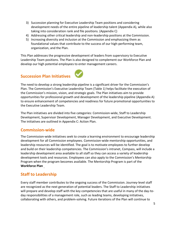- 3) Succession planning for Executive Leadership Team positions and considering development needs of the entire pipeline of leadership talent (Appendix A), while also taking into consideration rank and file positions. (Appendix C)
- 4) Addressing other critical leadership and non-leadership positions at the Commission.
- 5) Increasing diversity and inclusion at the Commission and emphasizing them as foundational values that contribute to the success of our high-performing team, organization, and the Plan.

This Plan addresses the progressive development of leaders from supervisory to Executive Leadership Team positions. The Plan is also designed to complement our Workforce Plan and develop our high potential employees to enter management careers.

# **Succession Plan Initiatives**



The Plan initiatives are divided into five categories: Commission-wide, Staff to Leadership Development, Supervisor Development, Manager Development, and Executive Development. The initiatives are outlined in Appendix C: Action Plan.

#### <span id="page-4-0"></span>**Commission-wide**

The Commission-wide initiatives seek to create a learning environment to encourage leadership development for all Commission employees. Commission-wide mentorship opportunities, and leadership resources will be identified. The goal is to motivate employees to further develop and build on their leadership competencies. The Commission's intranet, Compass, will include a leadership development area available to all staff so they can access a variety of leadership development tools and resources. Employees can also apply to the Commission's Mentorship Program when the program becomes available. The Mentorship Program is part of the **Workforce Plan** .

#### <span id="page-4-1"></span>**Staff to Leadership**

Every staff member contributes to the ongoing success of the Commission. Journey-level staff are recognized as the next generation of potential leaders. The Staff to Leadership initiatives will prepare and develop staff with the key competencies that are useful in many of the day-today responsibilities of a management role, such as leading teams, developing initiatives, collaborating with others, and problem-solving. Future iterations of the Plan will continue to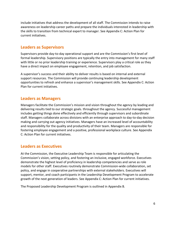include initiatives that address the development of all staff. The Commission intends to raise awareness on leadership career paths and prepare the individuals interested in leadership with the skills to transition from technical expert to manager. See Appendix C: Action Plan for current initiatives.

#### <span id="page-5-0"></span>**Leaders as Supervisors**

Supervisors provide day-to-day operational support and are the Commission's first level of formal leadership. Supervisory positions are typically the entry into management for many staff with little or no prior leadership training or experience. Supervisors play a critical role as they have a direct impact on employee engagement, retention, and job satisfaction.

 A supervisor's success and their ability to deliver results is based on internal and external support resources. The Commission will provide continuing leadership development opportunities to refresh and enhance a supervisor's management skills. See Appendix C: Action Plan for current initiatives.

#### <span id="page-5-1"></span>**Leaders as Managers**

 Managers facilitate the Commission's mission and vision throughout the agency by leading and delivering results tied to our strategic goals. throughout the agency. Successful management includes getting things done effectively and efficiently through supervisors and subordinate staff. Managers collaborate across divisions with an enterprise approach to day-to-day decision making and carrying out agency initiatives. Managers have an increased level of accountability and responsibility for the quality and productivity of their team. Managers are responsible for fostering employee engagement and a positive, professional workplace culture. See Appendix C: Action Plan for current initiatives.

#### <span id="page-5-2"></span>**Leaders as Executives**

At the Commission, the Executive Leadership Team is responsible for articulating the Commission's vision, setting policy, and fostering an inclusive, engaged workforce. Executives demonstrate the highest level of proficiency in leadership competencies and serve as role models for other staff. Executives routinely demonstrate Commission-wide collaboration, set policy, and engage in cooperative partnerships with external stakeholders. Executives will support, mentor, and coach participants in the Leadership Development Program to accelerate growth of the next generation of leaders. See Appendix C: Action Plan for current initiatives.

The Proposed Leadership Development Program is outlined in Appendix B.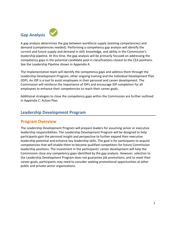<span id="page-6-0"></span>

 current and future supply and demand in skill, knowledge, and ability in the Commission's A gap analysis determines the gap between workforce supply (existing competencies) and demand (competencies needed). Performing a competency gap analysis will identify the leadership pipeline. At this time, the gap analysis will be primarily focused on addressing the competency gaps in the potential candidate pool in classifications closest to the CEA positions. See the Leadership Pipeline shown in Appendix A.

The implementation team will identify the competency gaps and address them through the Leadership Development Program, other ongoing training and the Individual Development Plan (IDP). An IDP is a tool to assist employees in their personal and career development. The Commission will reinforce the importance of IDPs and encourage IDP completion for all employees to enhance their competencies to reach their career goals.

Additional strategies to close the competency gaps within the Commission are further outlined in Appendix C: Action Plan.

#### <span id="page-6-1"></span>**Leadership Development Program**

#### <span id="page-6-2"></span>**Program Overview**

<span id="page-6-3"></span>The Leadership Development Program will prepare leaders for assuming senior or executive leadership responsibilities. The Leadership Development Program will be designed to help participants gain the personal insight and perspective to further expand their executive leadership potential and enhance key leadership skills. The goal is for participants to acquire competencies that will enable them to become qualified competitors for future Commission leadership positions. The investment in the participants' career development will help the Commission close any competency gaps identified by the gap analysis. However, selection to the Leadership Development Program does not guarantee job promotions, and to meet their career goals, participants may need to consider seeking promotional opportunities at other public and private sector organizations.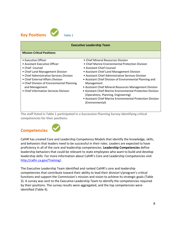

| <b>Executive Leadership Team</b>                                                                                                                                                                                                                                                                      |                                                                                                                                                                                                                                                                                                                                                                                                                                                                                                                                                    |  |
|-------------------------------------------------------------------------------------------------------------------------------------------------------------------------------------------------------------------------------------------------------------------------------------------------------|----------------------------------------------------------------------------------------------------------------------------------------------------------------------------------------------------------------------------------------------------------------------------------------------------------------------------------------------------------------------------------------------------------------------------------------------------------------------------------------------------------------------------------------------------|--|
| <b>Mission Critical Positions:</b>                                                                                                                                                                                                                                                                    |                                                                                                                                                                                                                                                                                                                                                                                                                                                                                                                                                    |  |
| • Executive Officer<br>• Assistant Executive Officer<br>• Chief Counsel<br>• Chief Land Management Division<br>• Chief Administrative Services Division<br>• Chief External Affairs Division<br>• Chief Division of Environmental Planning<br>and Management<br>• Chief Information Services Division | • Chief Mineral Resources Division<br>• Chief Marine Environmental Protection Division<br>• Assistant Chief Counsel<br>• Assistant Chief Land Management Division<br>• Assistant Chief Administrative Services Division<br>• Assistant Chief Division of Environmental Planning and<br>Management<br>• Assistant Chief Mineral Resources Management Division<br>• Assistant Chief Marine Environmental Protection Division<br>(Operations, Planning, Engineering)<br>• Assistant Chief Marine Environmental Protection Division<br>(Environmental) |  |

**The staff listed in Table 1 participated in a Succession Planning Survey identifying critical competencies for their positions.** 

## <span id="page-7-0"></span>**Competencies**



 leadership skills. For more information about CalHR's Core and Leadership Competencies visit CalHR has created Core and Leadership Competency Models that identify the knowledge, skills, and behaviors that leaders need to be successful in their roles. Leaders are expected to have proficiency in all of the core and leadership competencies. **Leadership Competencies** define leadership behaviors that could be relevant to state employees who want to build and develop [http://calhr.ca.gov/Training/.](http://calhr.ca.gov/Training/)

The Executive Leadership Team identified and ranked CalHR's core and leadership competencies that contribute toward their ability to lead their division's/program's critical functions and support the Commission's mission and vision to achieve its strategic goals (Table 3). A survey was sent to the Executive Leadership Team to identify the competencies required by their positions. The survey results were aggregated, and the top competencies were identified (Table 4).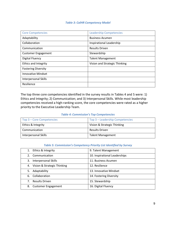#### *Table 3: CalHR Competency Model*

| <b>Core Competencies</b>    | <b>Leadership Competencies</b> |
|-----------------------------|--------------------------------|
| Adaptability                | <b>Business Acumen</b>         |
| Collaboration               | Inspirational Leadership       |
| Communication               | <b>Results Driven</b>          |
| <b>Customer Engagement</b>  | Stewardship                    |
| <b>Digital Fluency</b>      | <b>Talent Management</b>       |
| <b>Ethics and Integrity</b> | Vision and Strategic Thinking  |
| <b>Fostering Diversity</b>  |                                |
| <b>Innovative Mindset</b>   |                                |
| Interpersonal Skills        |                                |
| Resilience                  |                                |

The top three core competencies identified in the survey results in Tables 4 and 5 were: 1) Ethics and Integrity; 2) Communication; and 3) Interpersonal Skills. While most leadership competencies received a high-ranking score, the core competencies were rated as a higher priority to the Executive Leadership Team.

#### *Table 4: Commission's Top Competencies*

| Top 3 – Core Competencies | Top 3 - Leadership Competencies |
|---------------------------|---------------------------------|
| Ethics & Integrity        | Vision & Strategic Thinking     |
| Communication             | <b>Results Driven</b>           |
| Interpersonal Skills      | <b>Talent Management</b>        |

#### *Table 5: Commission's Competency Priority List Identified by Survey*

<span id="page-8-0"></span>

| Ethics & Integrity<br>1.                | 9. Talent Management          |
|-----------------------------------------|-------------------------------|
| Communication<br>2.                     | 10. Inspirational Leaderships |
| <b>Interpersonal Skills</b><br>3.       | 11. Business Acumen           |
| Vision & Strategic Thinking<br>4.       | 12. Resilience                |
| Adaptability<br>5.                      | 13. Innovative Mindset        |
| Collaboration<br>6.                     | 14. Fostering Diversity       |
| <b>Results Driven</b><br>7 <sub>1</sub> | 15. Stewardship               |
| <b>Customer Engagement</b><br>8.        | 16. Digital Fluency           |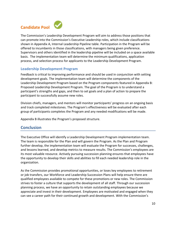# **Candidate Pool**



 The Commission's Leadership Development Program will aim to address those positions that can promote into the Commission's Executive Leadership roles, which include classifications shown in Appendix A, Internal Leadership Pipeline table. Participation in the Program will be offered to incumbents in those classifications, with managers being given preference. Supervisors and others identified in the leadership pipeline will be included on a space available basis. The implementation team will determine the minimum qualifications, application process, and selection process for applicants to the Leadership Development Program.

#### **Leadership Development Program**

Feedback is critical to improving performance and should be used in conjunction with setting development goals. The implementation team will determine the components of the Leadership Development Program based on the Program components featured in Appendix B: Proposed Leadership Development Program. The goal of the Program is to understand a participant's strengths and gaps, and then to set goals and a plan of action to prepare the participant to successfully assume new roles.

 Division chiefs, managers, and mentors will monitor participants' progress on an ongoing basis and track completed milestones. The Program's effectiveness will be evaluated after each group of participants completes the Program and any needed modifications will be made.

Appendix B illustrates the Program's proposed structure.

#### <span id="page-9-0"></span>**Conclusion**

 and lessons learned, and develop metrics to measure results. The Commission's employees are The Executive Office will identify a Leadership Development Program implementation team. The team is responsible for the Plan and will govern the Program. As the Plan and Program further develop, the implementation team will evaluate the Program for successes, challenges, its most valuable resource. Actively pursuing succession planning ensures that employees have the opportunity to develop their skills and abilities to fill each needed leadership role in the organization.

As the Commission provides promotional opportunities, or loses key employees to retirement or job transfers, our Workforce and Leadership Succession Plans will help ensure there are qualified employees available to compete for these promotions or new roles. The Commission strives to foster a culture that supports the development of all staff. Through our succession planning process, we have an opportunity to retain outstanding employees because we appreciate and invest in their development. Employees are motivated and engaged when they can see a career path for their continued growth and development. With the Commission's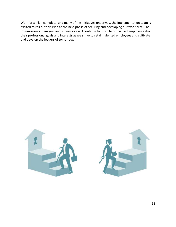Workforce Plan complete, and many of the initiatives underway, the implementation team is excited to roll out this Plan as the next phase of securing and developing our workforce. The Commission's managers and supervisors will continue to listen to our valued employees about their professional goals and interests as we strive to retain talented employees and cultivate and develop the leaders of tomorrow.

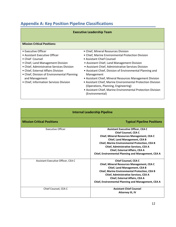## **Appendix A: Key Position Pipeline Classifications**

#### **Mission Critical Positions:**

- 
- 
- 
- 
- 
- 
- Chief, Division of Environmental Planning Management
- 
- Executive Officer Chief, Mineral Resources Division
- Assistant Executive Officer Chief, Marine Environmental Protection Division
- Chief Counsel Chief Counsel
- Chief, Land Management Division Assistant Chief, Land Management Division
- Chief, Administrative Services Division Assistant Chief, Administrative Services Division
- Chief, External Affairs Division Assistant Chief, Division of Environmental Planning and
- and Management Assistant Chief, Mineral Resources Management Division
- Chief, Information Services Division Assistant Chief, Marine Environmental Protection Division (Operations, Planning, Engineering)
	- Assistant Chief, Marine Environmental Protection Division (Environmental)

#### **Internal Leadership Pipeline**

| <b>Mission Critical Positions</b>  | <b>Typical Pipeline Positions</b>                                                                                                                                                                                                                                                                                                                               |
|------------------------------------|-----------------------------------------------------------------------------------------------------------------------------------------------------------------------------------------------------------------------------------------------------------------------------------------------------------------------------------------------------------------|
| <b>Executive Officer</b>           | <b>Assistant Executive Officer, CEA C</b><br><b>Chief Counsel, CEA C</b><br>Chief, Mineral Resources Management, CEA C<br><b>Chief, Land Management, CEA B</b><br><b>Chief, Marine Environmental Protection, CEA B</b><br><b>Chief, Administrative Services, CEA A</b><br>Chief, External Affairs, CEA A<br>Chief, Environmental Planning and Management, CEA A |
| Assistant Executive Officer, CEA C | <b>Chief Counsel, CEA C</b><br><b>Chief, Mineral Resources Management, CEA C</b><br><b>Chief, Land Management, CEA B</b><br><b>Chief, Marine Environmental Protection, CEA B</b><br><b>Chief, Administrative Services, CEA A</b><br>Chief, External Affairs, CEA A<br>Chief, Environmental Planning and Management, CEA A                                       |
| Chief Counsel, CEA C               | <b>Assistant Chief Counsel</b><br>Attorney III, IV                                                                                                                                                                                                                                                                                                              |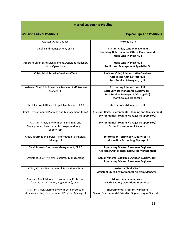| <b>Internal Leadership Pipeline</b>                                                                         |                                                                                                                                                                             |  |
|-------------------------------------------------------------------------------------------------------------|-----------------------------------------------------------------------------------------------------------------------------------------------------------------------------|--|
| <b>Mission Critical Positions</b>                                                                           | <b>Typical Pipeline Positions</b>                                                                                                                                           |  |
| <b>Assistant Chief Counsel</b>                                                                              | <b>Attorney III, IV</b>                                                                                                                                                     |  |
| Chief, Land Management, CEA B                                                                               | <b>Assistant Chief, Land Management</b><br><b>Boundary Determination Officer (Supervisory)</b><br><b>Public Land Manager I, II</b>                                          |  |
| Assistant Chief, Land Management, Assistant Manager,<br>Land Operations                                     | <b>Public Land Manager I, II</b><br><b>Public Land Management Specialist IV</b>                                                                                             |  |
| Chief, Administrative Services, CEA A                                                                       | <b>Assistant Chief, Administrative Services</b><br><b>Accounting Administrator I, II</b><br><b>Staff Services Manager I, II, III</b>                                        |  |
| Assistant Chief, Administrative Services, Staff Services<br>Manager III                                     | <b>Accounting Administrator I, II</b><br><b>Staff Services Manager II (Supervisory)</b><br><b>Staff Services Manager II (Managerial)</b><br><b>Staff Services Manager I</b> |  |
| Chief, External Affairs & Legislative Liaison, CEA A                                                        | <b>Staff Services Manager I, II, III</b>                                                                                                                                    |  |
| Chief, Environmental Planning and Management, CEA A                                                         | <b>Assistant Chief, Environmental Planning and Management</b><br><b>Environmental Program Manager I (Supervisory)</b>                                                       |  |
| Assistant Chief, Environmental Planning and<br>Management, Environmental Program Manager I<br>(Supervisory) | <b>Environmental Program Manager I (Supervisory)</b><br><b>Senior Environmental Scientist</b>                                                                               |  |
| Chief, Information Services, Information Technology<br>Manager II                                           | <b>Information Technology Supervisor I, II</b><br><b>Information Technology Manager I</b>                                                                                   |  |
| Chief, Mineral Resources Management, CEA C                                                                  | <b>Supervising Mineral Resources Engineer</b><br><b>Assistant Chief Mineral Resources Management</b>                                                                        |  |
| Assistant Chief, Mineral Resources Management                                                               | <b>Senior Mineral Resources Engineer (Supervisory)</b><br><b>Supervising Mineral Resources Engineer</b>                                                                     |  |
| Chief, Marine Environmental Protection, CEA B                                                               | <b>Assistant Chief, CEA A</b><br>Assistant Chief, Environmental Program Manager I                                                                                           |  |
| Assistant Chief, Marine Environmental Protection<br>(Operations, Planning, Engineering), CEA A              | <b>Marine Safety Supervisor</b><br><b>Marine Safety Operations Supervisor</b>                                                                                               |  |
| Assistant Chief, Marine Environmental Protection<br>(Environmental), Environmental Program Manager I        | <b>Environmental Program Manager I</b><br><b>Senior Environmental Scientist (Supervisory or Specialist)</b>                                                                 |  |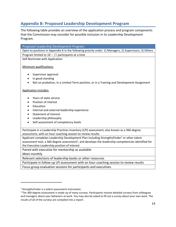### **Appendix B: Proposed Leadership Development Program**

The following table provides an overview of the application process and program components that the Commission may consider for possible inclusion in its Leadership Development Program.

| Proposed Leadership Development Program                                                                         |
|-----------------------------------------------------------------------------------------------------------------|
| Open to positions in Appendix A in the following priority order: 1) Managers, 2) Supervisors, 3) Others         |
| Program limited to $10 - 15$ participants at a time                                                             |
| Self-Nominate with Application                                                                                  |
|                                                                                                                 |
| Minimum qualifications:                                                                                         |
| Supervisor approval                                                                                             |
| In good standing                                                                                                |
|                                                                                                                 |
| Not on probation, in a Limited Term position, or in a Training and Development Assignment                       |
| <b>Application includes:</b>                                                                                    |
|                                                                                                                 |
| Years of state service                                                                                          |
| Position of interest                                                                                            |
| Education                                                                                                       |
| Internal and external leadership experience<br>٠                                                                |
| <b>Statement of interest</b>                                                                                    |
| Leadership philosophy                                                                                           |
| Self-assessment of competency levels                                                                            |
|                                                                                                                 |
| Participate in a Leadership Practices Inventory (LPI) assessment, also known as a 360-degree                    |
| assessment, with an hour coaching session to review results                                                     |
| Applicant completes Leadership Development Plan including StrengthsFinder <sup>1</sup> or other talent          |
| assessment tool, a 360-degree assessment <sup>2</sup> , and develops the leadership competencies identified for |
| the Executive Leadership position of interest                                                                   |
| Paired with executive for mentorship as available                                                               |
| Meet monthly                                                                                                    |
| Relevant selections of leadership books or other resources                                                      |
| Participate in follow-up LPI assessment with an hour coaching session to review results                         |
| Focus group evaluation sessions for participants and executives                                                 |

<sup>&</sup>lt;sup>1</sup> StrengthsFinder is a talent assessment instrument.

<sup>&</sup>lt;sup>2</sup> The 360-degree assessment is made up of many surveys. Participants receive detailed surveys from colleagues and managers about your behaviors at work. You may also be asked to fill out a survey about your own work. The results of all of the surveys are compiled into a report.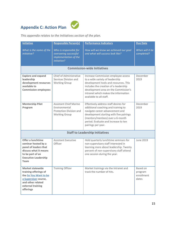# **Appendix C: Action Plan**



*This appendix relates to the Initiatives section of the plan.* 

| <b>Initiative</b>                                                                                                                                        | <b>Responsible Person(s)</b>                                                                      | <b>Performance Indicators</b>                                                                                                                                                                                                                                       | <b>Due Date</b>                            |
|----------------------------------------------------------------------------------------------------------------------------------------------------------|---------------------------------------------------------------------------------------------------|---------------------------------------------------------------------------------------------------------------------------------------------------------------------------------------------------------------------------------------------------------------------|--------------------------------------------|
| What is the name of the<br>initiative?                                                                                                                   | Who is responsible for<br>overseeing successful<br>implementation of the<br>initiative?           | How will we know we achieved our goal<br>and what will success look like?                                                                                                                                                                                           | When will it be<br>completed?              |
|                                                                                                                                                          |                                                                                                   | <b>Commission-wide Initiatives</b>                                                                                                                                                                                                                                  |                                            |
| <b>Explore and expand</b><br>leadership<br>development resources<br>available to<br><b>Commission employees</b>                                          | Chief of Administrative<br>Services Division and<br><b>Working Group</b>                          | Increase Commission employee access<br>to a wide variety of leadership<br>development tools and resources. This<br>includes the creation of a leadership<br>development area on the Commission's<br>intranet which makes the information<br>available to all staff. | December<br>2019                           |
| <b>Mentorship Pilot</b><br>Program                                                                                                                       | <b>Assistant Chief Marine</b><br>Environmental<br>Protection Division and<br><b>Working Group</b> | Effectively address staff desires for<br>additional coaching and training to<br>navigate career advancement and<br>development starting with five pairings<br>(mentors/mentees) over a 6-month<br>period. Evaluate and increase to ten<br>pairings per year.        | December<br>2019                           |
|                                                                                                                                                          |                                                                                                   | <b>Staff to Leadership Initiatives</b>                                                                                                                                                                                                                              |                                            |
| Offer a lunchtime<br>seminar hosted by a<br>panel of leaders that<br>discuss what it means<br>to be part of an<br><b>Executive Leadership</b><br>Team    | <b>Assistant Executive</b><br>Officer                                                             | Hold quarterly lunchtime seminars for<br>non-supervisory staff interested in<br>learning more about leadership. Twenty<br>percent of non-supervisory staff attend<br>one session during the year.                                                                   | June 2019                                  |
| <b>Market statewide</b><br>training offerings of<br>the So You Want to be<br>a Supervisor course,<br>and other related<br>external training<br>offerings | <b>Training Officer</b>                                                                           | Market trainings via the Intranet and<br>track the number of hits.                                                                                                                                                                                                  | Based on<br>program<br>enrollment<br>dates |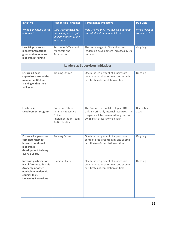| <b>Initiative</b>                                                                                                                                        | <b>Responsible Person(s)</b>                                                                                        | <b>Performance Indicators</b>                                                                                                                                    | <b>Due Date</b>               |
|----------------------------------------------------------------------------------------------------------------------------------------------------------|---------------------------------------------------------------------------------------------------------------------|------------------------------------------------------------------------------------------------------------------------------------------------------------------|-------------------------------|
| What is the name of the<br><i>initiative?</i>                                                                                                            | Who is responsible for<br>overseeing successful<br>implementation of the<br>initiative?                             | How will we know we achieved our goal<br>and what will success look like?                                                                                        | When will it be<br>completed? |
| Use IDP process to<br>identify promotional<br>goals and to increase<br>leadership training                                                               | Personnel Officer and<br>Managers and<br>Supervisors                                                                | The percentage of IDPs addressing<br>leadership development increases by 10<br>percent.                                                                          | Ongoing                       |
|                                                                                                                                                          |                                                                                                                     | <b>Leaders as Supervisors Initiatives</b>                                                                                                                        |                               |
| <b>Ensure all new</b><br>supervisors attend the<br>mandatory 80-hour<br>training within their<br>first year                                              | <b>Training Officer</b>                                                                                             | One hundred percent of supervisors<br>complete required training and submit<br>certificates of completion on time.                                               | Ongoing                       |
| Leadership<br><b>Development Program</b>                                                                                                                 | <b>Executive Officer</b><br><b>Assistant Executive</b><br>Officer<br><b>Implementation Team</b><br>To Be Identified | The Commission will develop an LDP<br>utilizing primarily internal resources. The<br>program will be presented to groups of<br>10-15 staff at least once a year. | December<br>2020              |
| <b>Ensure all supervisors</b><br>complete their 20<br>hours of continued<br>leadership<br>development training<br>every 2 years.                         | <b>Training Officer</b>                                                                                             | One hundred percent of supervisors<br>complete required training and submit<br>certificates of completion on time.                                               | Ongoing                       |
| <b>Increase participation</b><br>in California Leadership<br>Academy or other<br>equivalent leadership<br>courses (e.g.,<br><b>University Extension)</b> | Division Chiefs                                                                                                     | One hundred percent of supervisors<br>complete required training and submit<br>certificates of completion on time.                                               | Ongoing                       |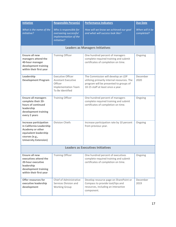| <b>Initiative</b>                                                                                                                                        | <b>Responsible Person(s)</b>                                                                                        | <b>Performance Indicators</b>                                                                                                                                    | <b>Due Date</b>               |
|----------------------------------------------------------------------------------------------------------------------------------------------------------|---------------------------------------------------------------------------------------------------------------------|------------------------------------------------------------------------------------------------------------------------------------------------------------------|-------------------------------|
| What is the name of the<br><i>initiative?</i>                                                                                                            | Who is responsible for<br>overseeing successful<br>implementation of the<br>initiative?                             | How will we know we achieved our goal<br>and what will success look like?                                                                                        | When will it be<br>completed? |
|                                                                                                                                                          |                                                                                                                     | <b>Leaders as Managers Initiatives</b>                                                                                                                           |                               |
| <b>Ensure all new</b><br>managers attend the<br>40-hour manager<br>development training<br>within their first year                                       | <b>Training Officer</b>                                                                                             | One hundred percent of managers<br>complete required training and submit<br>certificates of completion on time.                                                  | Ongoing                       |
| Leadership<br><b>Development Program</b>                                                                                                                 | <b>Executive Officer</b><br><b>Assistant Executive</b><br>Officer<br><b>Implementation Team</b><br>To Be Identified | The Commission will develop an LDP<br>utilizing primarily internal resources. The<br>program will be presented to groups of<br>10-15 staff at least once a year. | December<br>2020              |
| <b>Ensure all managers</b><br>complete their 20-<br>hours of continued<br>leadership<br>development training<br>every 2 years                            | <b>Training Officer</b>                                                                                             | One hundred percent of managers<br>complete required training and submit<br>certificates of completion on time.                                                  | Ongoing                       |
| <b>Increase participation</b><br>in California Leadership<br>Academy or other<br>equivalent leadership<br>courses (e.g.,<br><b>University Extension)</b> | Division Chiefs                                                                                                     | Increase participation rate by 10 percent<br>from previous year.                                                                                                 | Ongoing                       |
| <b>Leaders as Executives Initiatives</b>                                                                                                                 |                                                                                                                     |                                                                                                                                                                  |                               |
| Ensure all new<br>executives attend the<br>20-hour executive<br>leadership<br>development training<br>within their first year                            | <b>Training Officer</b>                                                                                             | One hundred percent of executives<br>complete required training and submit<br>certificates of completion on time.                                                | Ongoing                       |
| Offer resources for<br>executive leadership<br>development                                                                                               | Chief of Administrative<br>Services Division and<br><b>Working Group</b>                                            | Develop resource page on SharePoint or<br>Compass to provide tool/tips and<br>resources, including an interactive<br>component.                                  | December<br>2019              |